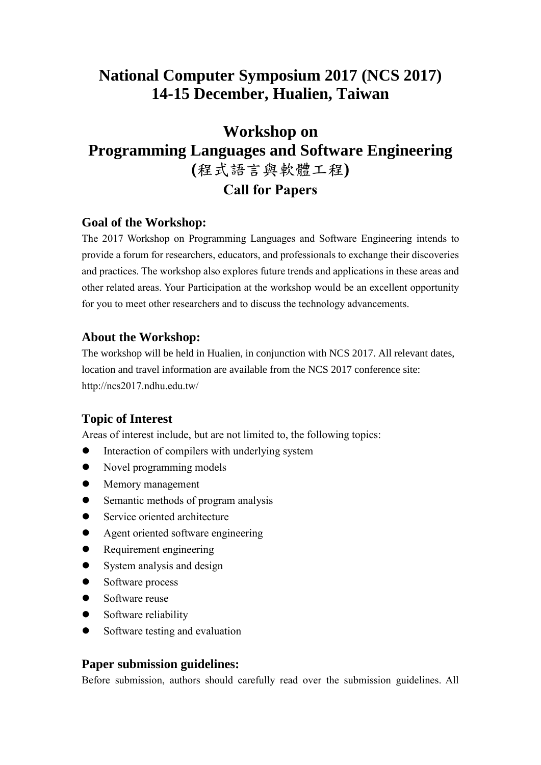# **National Computer Symposium 2017 (NCS 2017) 14-15 December, Hualien, Taiwan**

# **Workshop on Programming Languages and Software Engineering (**程式語言與軟體工程**) Call for Papers**

#### **Goal of the Workshop:**

The 2017 Workshop on Programming Languages and Software Engineering intends to provide a forum for researchers, educators, and professionals to exchange their discoveries and practices. The workshop also explores future trends and applications in these areas and other related areas. Your Participation at the workshop would be an excellent opportunity for you to meet other researchers and to discuss the technology advancements.

#### **About the Workshop:**

The workshop will be held in Hualien, in conjunction with NCS 2017. All relevant dates, location and travel information are available from the NCS 2017 conference site: http://ncs2017.ndhu.edu.tw/

## **Topic of Interest**

Areas of interest include, but are not limited to, the following topics:

- Interaction of compilers with underlying system
- Novel programming models
- Memory management
- Semantic methods of program analysis
- Service oriented architecture
- Agent oriented software engineering
- Requirement engineering
- System analysis and design
- Software process
- Software reuse
- Software reliability
- Software testing and evaluation

#### **Paper submission guidelines:**

Before submission, authors should carefully read over the submission guidelines. All